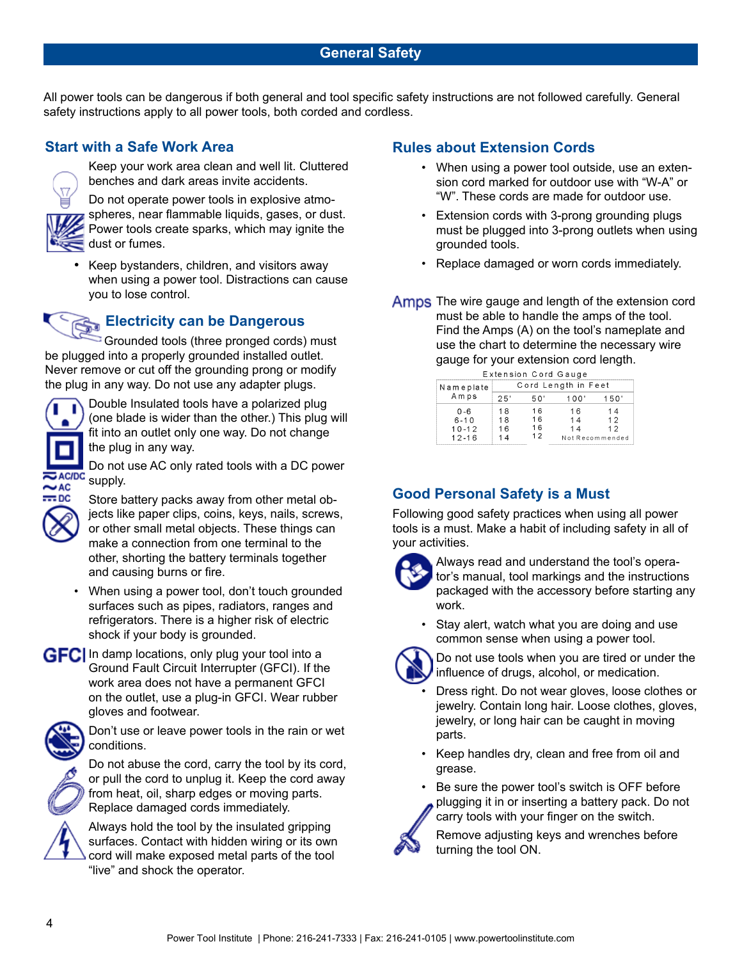#### **General Safety**

All power tools can be dangerous if both general and tool specific safety instructions are not followed carefully. General safety instructions apply to all power tools, both corded and cordless.

#### **Start with a Safe Work Area**



Keep your work area clean and well lit. Cluttered benches and dark areas invite accidents.

Do not operate power tools in explosive atmospheres, near flammable liquids, gases, or dust. Power tools create sparks, which may ignite the dust or fumes.

Keep bystanders, children, and visitors away when using a power tool. Distractions can cause you to lose control.

## **Electricity can be Dangerous**

Grounded tools (three pronged cords) must be plugged into a properly grounded installed outlet. Never remove or cut off the grounding prong or modify the plug in any way. Do not use any adapter plugs.



fit into an outlet only one way. Do not change the plug in any way. Do not use AC only rated tools with a DC power **AC/DC** supply.



• When using a power tool, don't touch grounded surfaces such as pipes, radiators, ranges and refrigerators. There is a higher risk of electric shock if your body is grounded.

#### **GFC** In damp locations, only plug your tool into a Ground Fault Circuit Interrupter (GFCI). If the work area does not have a permanent GFCI on the outlet, use a plug-in GFCI. Wear rubber gloves and footwear.



Don't use or leave power tools in the rain or wet conditions.



Do not abuse the cord, carry the tool by its cord, or pull the cord to unplug it. Keep the cord away from heat, oil, sharp edges or moving parts. Replace damaged cords immediately.



Always hold the tool by the insulated gripping surfaces. Contact with hidden wiring or its own cord will make exposed metal parts of the tool "live" and shock the operator.

#### **Rules about Extension Cords**

- When using a power tool outside, use an extension cord marked for outdoor use with "W-A" or "W". These cords are made for outdoor use.
- Extension cords with 3-prong grounding plugs must be plugged into 3-prong outlets when using grounded tools.
- Replace damaged or worn cords immediately.
- Amps The wire gauge and length of the extension cord must be able to handle the amps of the tool. Find the Amps (A) on the tool's nameplate and use the chart to determine the necessary wire gauge for your extension cord length.

| Extension Cord Gauge |                     |     |                 |     |  |
|----------------------|---------------------|-----|-----------------|-----|--|
| Nameplate<br>Amps    | Cord Length in Feet |     |                 |     |  |
|                      | 25'                 | ה ה | ററ'             | 50' |  |
| $0 - 6$              | 18                  | 16  | 16              | -4  |  |
| $6 - 10$             | 18                  | 16  | 14              | 12  |  |
| $10 - 12$            | 1 คิ                | 1 6 |                 | 12  |  |
| $12 - 16$            |                     | 12  | Not Recommended |     |  |

#### **Good Personal Safety is a Must**

Following good safety practices when using all power tools is a must. Make a habit of including safety in all of your activities.



Always read and understand the tool's operator's manual, tool markings and the instructions packaged with the accessory before starting any work.

Stay alert, watch what you are doing and use common sense when using a power tool.



Do not use tools when you are tired or under the influence of drugs, alcohol, or medication.

- Dress right. Do not wear gloves, loose clothes or jewelry. Contain long hair. Loose clothes, gloves, jewelry, or long hair can be caught in moving parts.
- Keep handles dry, clean and free from oil and grease.

Be sure the power tool's switch is OFF before plugging it in or inserting a battery pack. Do not carry tools with your finger on the switch.

Remove adjusting keys and wrenches before turning the tool ON.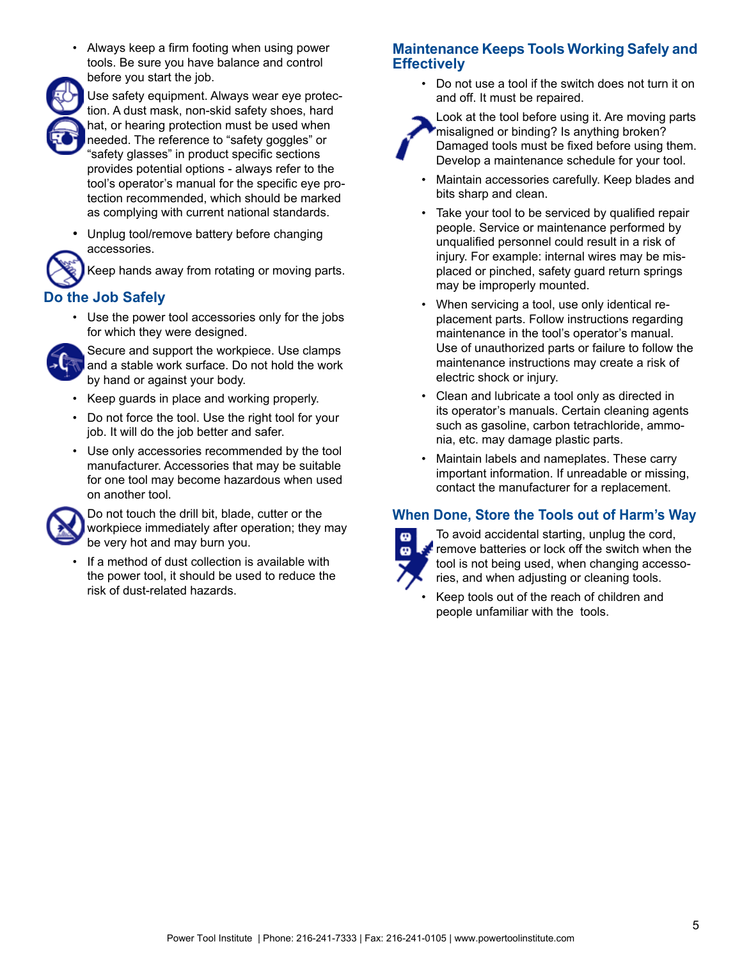• Always keep a firm footing when using power tools. Be sure you have balance and control before you start the job.



Use safety equipment. Always wear eye protection. A dust mask, non-skid safety shoes, hard hat, or hearing protection must be used when needed. The reference to "safety goggles" or "safety glasses" in product specific sections provides potential options - always refer to the tool's operator's manual for the specific eye protection recommended, which should be marked as complying with current national standards.

• Unplug tool/remove battery before changing accessories.



Keep hands away from rotating or moving parts.

# **Do the Job Safely**

• Use the power tool accessories only for the jobs for which they were designed.



Secure and support the workpiece. Use clamps and a stable work surface. Do not hold the work by hand or against your body.

- Keep guards in place and working properly.
- Do not force the tool. Use the right tool for your job. It will do the job better and safer.
- Use only accessories recommended by the tool manufacturer. Accessories that may be suitable for one tool may become hazardous when used on another tool.



Do not touch the drill bit, blade, cutter or the workpiece immediately after operation; they may be very hot and may burn you.

If a method of dust collection is available with the power tool, it should be used to reduce the risk of dust-related hazards.

## **Maintenance Keeps Tools Working Safely and Effectively**

• Do not use a tool if the switch does not turn it on and off. It must be repaired.



Look at the tool before using it. Are moving parts misaligned or binding? Is anything broken? Damaged tools must be fixed before using them. Develop a maintenance schedule for your tool.

- Maintain accessories carefully. Keep blades and bits sharp and clean.
- Take your tool to be serviced by qualified repair people. Service or maintenance performed by unqualified personnel could result in a risk of injury. For example: internal wires may be misplaced or pinched, safety guard return springs may be improperly mounted.
- When servicing a tool, use only identical replacement parts. Follow instructions regarding maintenance in the tool's operator's manual. Use of unauthorized parts or failure to follow the maintenance instructions may create a risk of electric shock or injury.
- Clean and lubricate a tool only as directed in its operator's manuals. Certain cleaning agents such as gasoline, carbon tetrachloride, ammonia, etc. may damage plastic parts.
- Maintain labels and nameplates. These carry important information. If unreadable or missing, contact the manufacturer for a replacement.

## **When Done, Store the Tools out of Harm's Way**



To avoid accidental starting, unplug the cord, **Premove batteries or lock off the switch when the** tool is not being used, when changing accessories, and when adjusting or cleaning tools.

• Keep tools out of the reach of children and people unfamiliar with the tools.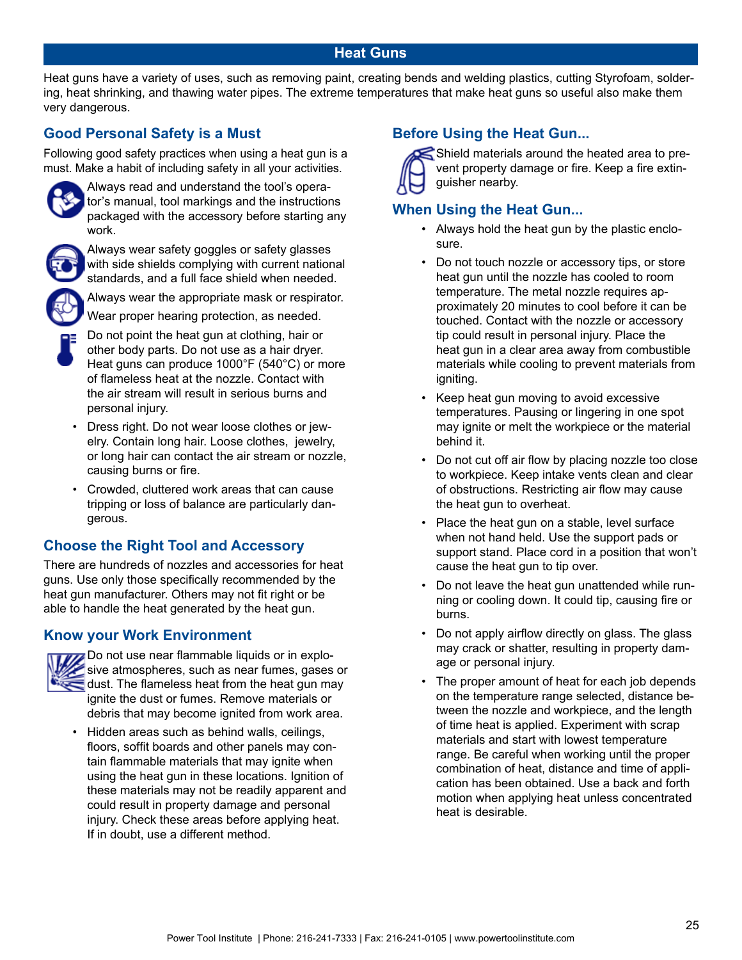#### **Heat Guns**

Heat guns have a variety of uses, such as removing paint, creating bends and welding plastics, cutting Styrofoam, soldering, heat shrinking, and thawing water pipes. The extreme temperatures that make heat guns so useful also make them very dangerous.

#### **Good Personal Safety is a Must**

Following good safety practices when using a heat gun is a must. Make a habit of including safety in all your activities.



Always read and understand the tool's operator's manual, tool markings and the instructions packaged with the accessory before starting any work.



Always wear safety goggles or safety glasses with side shields complying with current national standards, and a full face shield when needed.



Always wear the appropriate mask or respirator.

Wear proper hearing protection, as needed.

- Do not point the heat gun at clothing, hair or other body parts. Do not use as a hair dryer. Heat guns can produce 1000°F (540°C) or more of flameless heat at the nozzle. Contact with the air stream will result in serious burns and personal injury.
- Dress right. Do not wear loose clothes or jewelry. Contain long hair. Loose clothes, jewelry, or long hair can contact the air stream or nozzle, causing burns or fire.
- Crowded, cluttered work areas that can cause tripping or loss of balance are particularly dangerous.

#### **Choose the Right Tool and Accessory**

There are hundreds of nozzles and accessories for heat guns. Use only those specifically recommended by the heat gun manufacturer. Others may not fit right or be able to handle the heat generated by the heat gun.

#### **Know your Work Environment**



Do not use near flammable liquids or in explosive atmospheres, such as near fumes, gases or dust. The flameless heat from the heat gun may ignite the dust or fumes. Remove materials or debris that may become ignited from work area.

• Hidden areas such as behind walls, ceilings, floors, soffit boards and other panels may contain flammable materials that may ignite when using the heat gun in these locations. Ignition of these materials may not be readily apparent and could result in property damage and personal injury. Check these areas before applying heat. If in doubt, use a different method.

## **Before Using the Heat Gun...**



 $\le$  Shield materials around the heated area to prevent property damage or fire. Keep a fire extinguisher nearby.

### **When Using the Heat Gun...**

- Always hold the heat gun by the plastic enclosure.
- Do not touch nozzle or accessory tips, or store heat gun until the nozzle has cooled to room temperature. The metal nozzle requires approximately 20 minutes to cool before it can be touched. Contact with the nozzle or accessory tip could result in personal injury. Place the heat gun in a clear area away from combustible materials while cooling to prevent materials from igniting.
- Keep heat gun moving to avoid excessive temperatures. Pausing or lingering in one spot may ignite or melt the workpiece or the material behind it.
- Do not cut off air flow by placing nozzle too close to workpiece. Keep intake vents clean and clear of obstructions. Restricting air flow may cause the heat gun to overheat.
- Place the heat gun on a stable, level surface when not hand held. Use the support pads or support stand. Place cord in a position that won't cause the heat gun to tip over.
- Do not leave the heat gun unattended while running or cooling down. It could tip, causing fire or burns.
- Do not apply airflow directly on glass. The glass may crack or shatter, resulting in property damage or personal injury.
- The proper amount of heat for each job depends on the temperature range selected, distance between the nozzle and workpiece, and the length of time heat is applied. Experiment with scrap materials and start with lowest temperature range. Be careful when working until the proper combination of heat, distance and time of application has been obtained. Use a back and forth motion when applying heat unless concentrated heat is desirable.